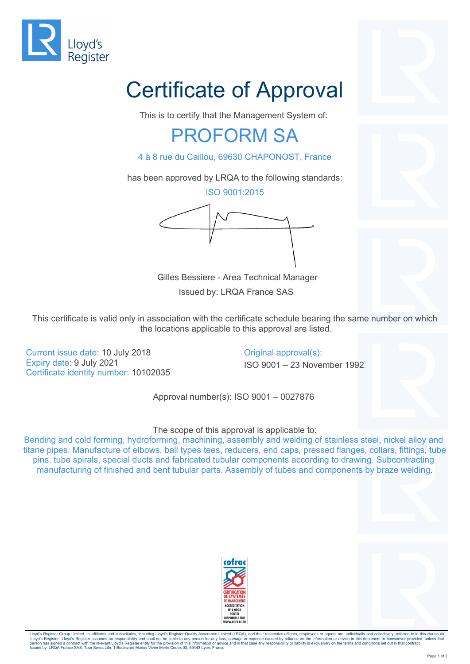

## Certificate of Approval

This is to certify that the Management System of:

## PROFORM SA

4 à 8 rue du Caillou, 69630 CHAPONOST, France

has been approved by LRQA to the following standards:

ISO 9001:2015

 Gilles Bessiere - Area Technical Manager Issued by: LRQA France SAS

This certificate is valid only in association with the certificate schedule bearing the same number on which the locations applicable to this approval are listed.

Current issue date: 10 July 2018 Current issue date: 10 July 2018 Expiry date: 9 July 2021 **ISO 9001** – 23 November 1992 Certificate identity number: 10102035

Approval number(s): ISO 9001 – 0027876

The scope of this approval is applicable to:

Bending and cold forming, hydroforming, machining, assembly and welding of stainless steel, nickel alloy and titane pipes. Manufacture of elbows, ball types tees, reducers, end caps, pressed flanges, collars, fittings, tube pins, tube spirals, special ducts and fabricated tubular components according to drawing. Subcontracting manufacturing of finished and bent tubular parts. Assembly of tubes and components by braze welding.





Lloyd's Register Group Limited, its affiliates and subsidiaries, including Lloyd's Register Quality Assurance Limited (LRQA), and their respective officers, employees or agents are, individually and collectively, referred